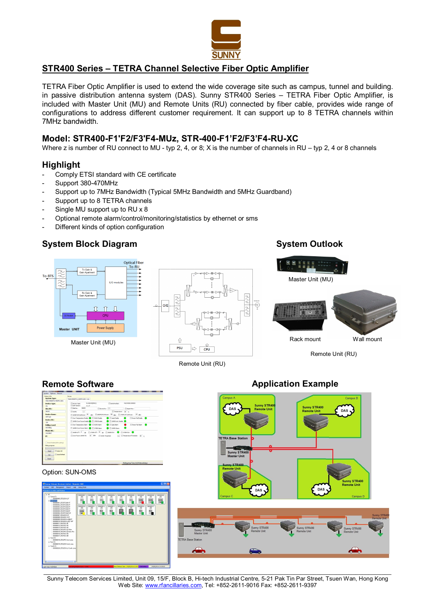

# **STR400 Series – TETRA Channel Selective Fiber Optic Amplifier**

TETRA Fiber Optic Amplifier is used to extend the wide coverage site such as campus, tunnel and building. in passive distribution antenna system (DAS). Sunny STR400 Series – TETRA Fiber Optic Amplifier, is included with Master Unit (MU) and Remote Units (RU) connected by fiber cable, provides wide range of configurations to address different customer requirement. It can support up to 8 TETRA channels within 7MHz bandwidth.

### **Model: STR400-F1'F2/F3'F4-MUz, STR-400-F1'F2/F3'F4-RU-XC**

Where z is number of RU connect to MU - typ 2, 4, or 8; X is the number of channels in RU – typ 2, 4 or 8 channels

### **Highlight**

 $To-BTS$ 

- Comply ETSI standard with CE certificate
- Support 380-470MHz
- Support up to 7MHz Bandwidth (Typical 5MHz Bandwidth and 5MHz Guardband)
- Support up to 8 TETRA channels
- Single MU support up to RU x 8
- Optional remote alarm/control/monitoring/statistics by ethernet or sms

To-RU

- Different kinds of option configuration

# **System Block Diagram System Outlook**







Remote Unit (RU)

Remote Unit (RU)

## **Remote Software**

Mactor LINIT

Master Unit (MU)

 $\hat{\mathbb{I}}$ 

| <b>Quitary Info</b>                            | Castre                                                                                          |
|------------------------------------------------|-------------------------------------------------------------------------------------------------|
| <b>System Type:</b><br>MISSOURCES LEATED LINOT | 491 198210901 HOPOTERS Info.                                                                    |
| <b>Device Type:</b>                            | 410010405911<br>PE0340201209005<br><b>Tifiserial Numbers</b><br><b>Convice Type:</b>            |
| MI                                             | Soft Version:<br>V1.17                                                                          |
| Site 80.1                                      | 96542<br>Site No. 1<br>Device No.: 255<br>El Recort No. 1                                       |
| 96542                                          | Temperature: 38 V.<br><b>TYSMR:</b><br>1.1                                                      |
| Device Name:                                   | Приверходноми: 26 dbs    3009109/bihover: 40 ды    1749/1.9 0utFover: -35 dbs                   |
| SMT test                                       | Coar Temperature Enable C E VSI/R Brable<br><b>C</b> Ill Gate Enable<br>Ployer Fall Drable<br>≏ |
| Device NO.:                                    | LENOM Over Power Enable (C) E 17494 Brable<br><b>C IT SHOPLING FRAGE CO</b>                     |
| 255                                            |                                                                                                 |
| Poling Level:                                  | <b>Call Gate Alarm</b><br><b>Cour Temperature Alam @ ETIGAR Alam</b><br><b>Player Fal Airm</b>  |
| No Poling                                      | LENOM Over Power Alarm (C) El 1745M Alarm (C) El 1840M Alarm                                    |
| Phone 80.1                                     | Паният: <sup>0</sup> и Принят: <sup>10</sup> и Панияк • Приняк • • •                            |
| 02224622                                       |                                                                                                 |
| 眇:                                             | Cour Power 19494 Tht 45 dDm El ISWA Threshold: 4.5 El Temperature Threshold: 80 c               |
| Reset Mademarter poling)                       |                                                                                                 |
| Poling progress                                |                                                                                                 |
|                                                |                                                                                                 |
| ETSelect All<br>Read                           |                                                                                                 |
| Auto Refresh<br><b>Cab</b>                     |                                                                                                 |
| Recet.                                         |                                                                                                 |

#### Option: SUN-OMS



## **Application Example**



\_\_\_\_\_\_\_\_\_\_\_\_\_\_\_\_\_\_\_\_\_\_\_\_\_\_\_\_\_\_\_\_\_\_\_\_\_\_\_\_\_\_\_\_\_\_\_\_\_\_\_\_\_\_\_\_\_\_\_\_\_\_\_\_\_\_\_\_\_\_\_\_\_\_\_\_\_\_\_\_\_\_\_\_\_\_\_\_\_\_\_\_\_\_\_\_\_\_\_\_\_\_\_\_\_\_\_ Sunny Telecom Services Limited, Unit 09, 15/F, Block B, Hi-tech Industrial Centre, 5-21 Pak Tin Par Street, Tsuen Wan, Hong Kong Web Site: www.rfancillaries.com, Tel: +852-2611-9016 Fax: +852-2611-9397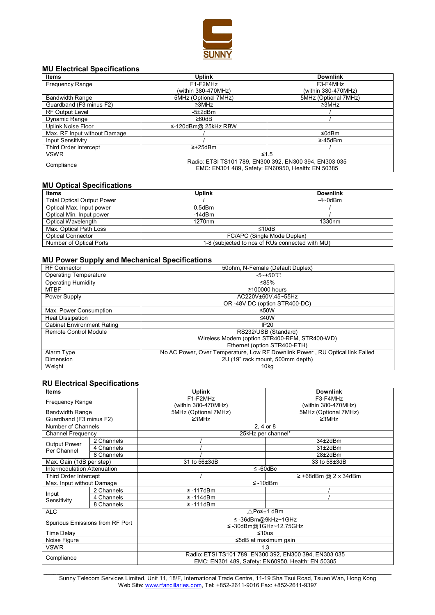

### **MU Electrical Specifications**

| <b>Items</b>                 | <b>Uplink</b>        | <b>Downlink</b>                                        |
|------------------------------|----------------------|--------------------------------------------------------|
| <b>Frequency Range</b>       | F1-F2MHz             | F3-F4MHz                                               |
|                              | (within 380-470MHz)  | (within 380-470MHz)                                    |
| <b>Bandwidth Range</b>       | 5MHz (Optional 7MHz) | 5MHz (Optional 7MHz)                                   |
| Guardband (F3 minus F2)      | $\geq 3$ MHz         | $\geq$ 3MHz                                            |
| <b>RF Output Level</b>       | $-5\pm2$ d $Bm$      |                                                        |
| Dynamic Range                | $\geq 60$ dB         |                                                        |
| <b>Uplink Noise Floor</b>    | ≤-120dBm@ 25kHz RBW  |                                                        |
| Max. RF Input without Damage |                      | ≤0dBm                                                  |
| Input Sensitivity            |                      | $\geq -45$ dBm                                         |
| Third Order Intercept        | $\geq$ +25dBm        |                                                        |
| <b>VSWR</b>                  |                      | $≤1.5$                                                 |
| Compliance                   |                      | Radio: ETSI TS101 789, EN300 392, EN300 394, EN303 035 |
|                              |                      | EMC: EN301 489, Safety: EN60950, Health: EN 50385      |

#### **MU Optical Specifications**

| <b>Items</b>                      | Uplink             | <b>Downlink</b>                                                                                                                     |
|-----------------------------------|--------------------|-------------------------------------------------------------------------------------------------------------------------------------|
| <b>Total Optical Output Power</b> |                    | $-4\negmedspace\negmedspace\negmedspace$ -4 $\negmedspace\negmedspace\negmedspace\negmedspace\negmedspace\negthinspace\blacksquare$ |
| Optical Max. Input power          | $0.5$ d $Bm$       |                                                                                                                                     |
| Optical Min. Input power          | $-14$ d $Bm$       |                                                                                                                                     |
| Optical Wavelength                | 1270 <sub>nm</sub> | 1330 <sub>nm</sub>                                                                                                                  |
| Max. Optical Path Loss            |                    | ≤10dB                                                                                                                               |
| <b>Optical Connector</b>          |                    | FC/APC (Single Mode Duplex)                                                                                                         |
| Number of Optical Ports           |                    | 1-8 (subjected to nos of RUs connected with MU)                                                                                     |

#### **MU Power Supply and Mechanical Specifications**

| <b>RF Connector</b>               | 50 ohm. N-Female (Default Duplex)                                            |
|-----------------------------------|------------------------------------------------------------------------------|
| <b>Operating Temperature</b>      | $-5$ ~+50 °C                                                                 |
| <b>Operating Humidity</b>         | ≤85%                                                                         |
| <b>MTBF</b>                       | ≥100000 hours                                                                |
| Power Supply                      | AC220V±60V.45~55Hz                                                           |
|                                   | OR-48V DC (option STR400-DC)                                                 |
| Max. Power Consumption            | ≤50W                                                                         |
| <b>Heat Dissipation</b>           | ≤40W                                                                         |
| <b>Cabinet Environment Rating</b> | IP20                                                                         |
| Remote Control Module             | RS232/USB (Standard)                                                         |
|                                   | Wireless Modem (option STR400-RFM, STR400-WD)                                |
|                                   | Ethernet (option STR400-ETH)                                                 |
| Alarm Type                        | No AC Power, Over Temperature, Low RF Downlink Power, RU Optical link Failed |
| Dimension                         | 2U (19" rack mount, 500mm depth)                                             |
| Weight                            | 10 <sub>kg</sub>                                                             |

#### **RU Electrical Specifications**

| <b>Items</b>                       |            | <b>Uplink</b>                                          | <b>Downlink</b>           |  |
|------------------------------------|------------|--------------------------------------------------------|---------------------------|--|
| <b>Frequency Range</b>             |            | F1-F2MHz                                               | F3-F4MHz                  |  |
|                                    |            | (within 380-470MHz)                                    | (within 380-470MHz)       |  |
| <b>Bandwidth Range</b>             |            | 5MHz (Optional 7MHz)                                   | 5MHz (Optional 7MHz)      |  |
| Guardband (F3 minus F2)            |            | $\geq$ 3MHz                                            | $\geq$ 3MHz               |  |
| Number of Channels                 |            | 2, 4 or 8                                              |                           |  |
| Channel Frequency                  |            | 25kHz per channel*                                     |                           |  |
| <b>Output Power</b>                | 2 Channels |                                                        | 34±2dBm                   |  |
| Per Channel                        | 4 Channels |                                                        | $31\pm2$ d $Bm$           |  |
|                                    | 8 Channels |                                                        | 28±2dBm                   |  |
| Max. Gain (1dB per step)           |            | 31 to 56±3dB                                           | 33 to 58±3dB              |  |
| <b>Intermodulation Attenuation</b> |            | $\leq$ -60dBc                                          |                           |  |
| Third Order Intercept              |            |                                                        | $\geq$ +68dBm @ 2 x 34dBm |  |
| Max. Input without Damage          |            | $\leq -10$ dBm                                         |                           |  |
| Input                              | 2 Channels | $\geq -117$ dBm                                        |                           |  |
| Sensitivity                        | 4 Channels | ≥ -114dBm                                              |                           |  |
|                                    | 8 Channels | $\geq -111$ d $Bm$                                     |                           |  |
| <b>ALC</b>                         |            |                                                        | ∧Po≤±1 dBm                |  |
| Spurious Emissions from RF Port    |            | ≤-36dBm@9kHz~1GHz                                      |                           |  |
|                                    |            | $\leq$ -30dBm@1GHz~12.75GHz                            |                           |  |
| <b>Time Delay</b>                  |            | ≤10us                                                  |                           |  |
| Noise Figure                       |            | ≤5dB at maximum gain                                   |                           |  |
| <b>VSWR</b>                        |            | 1.3                                                    |                           |  |
| Compliance                         |            | Radio: ETSI TS101 789, EN300 392, EN300 394, EN303 035 |                           |  |
|                                    |            | EMC: EN301 489, Safety: EN60950, Health: EN 50385      |                           |  |